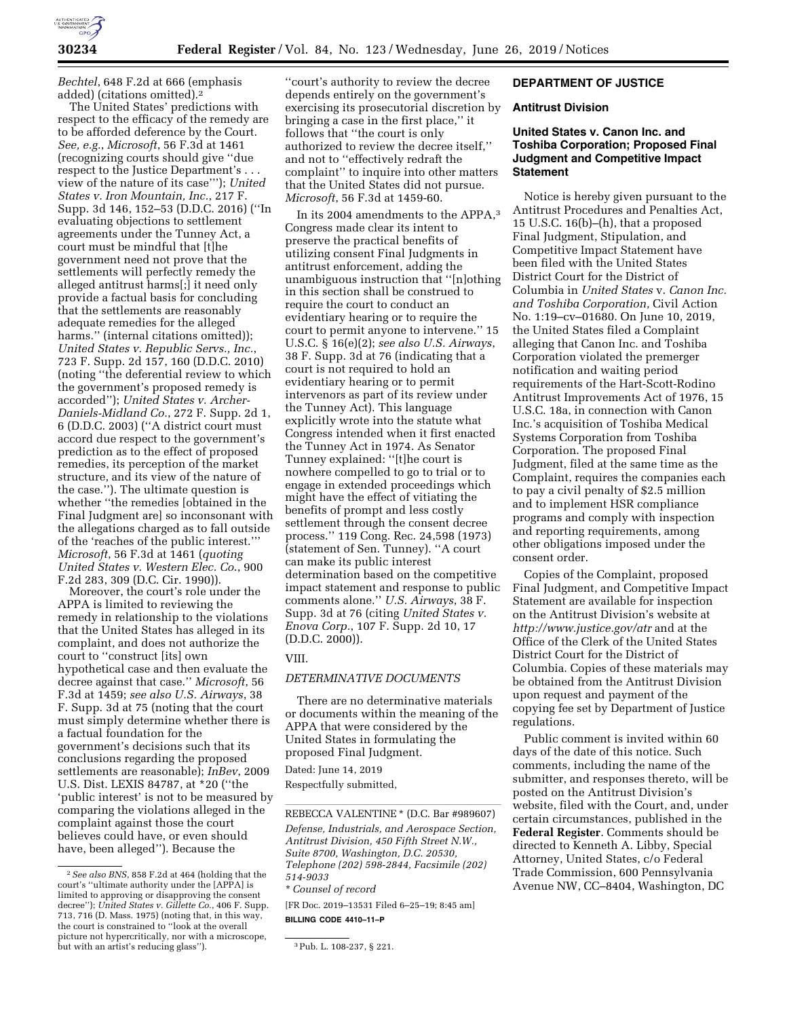

*Bechtel*, 648 F.2d at 666 (emphasis added) (citations omitted).2

The United States' predictions with respect to the efficacy of the remedy are to be afforded deference by the Court. *See, e.g.*, *Microsoft*, 56 F.3d at 1461 (recognizing courts should give ''due respect to the Justice Department's . . . view of the nature of its case'''); *United States v. Iron Mountain, Inc.*, 217 F. Supp. 3d 146, 152–53 (D.D.C. 2016) (''In evaluating objections to settlement agreements under the Tunney Act, a court must be mindful that [t]he government need not prove that the settlements will perfectly remedy the alleged antitrust harms[;] it need only provide a factual basis for concluding that the settlements are reasonably adequate remedies for the alleged harms." (internal citations omitted)); *United States v. Republic Servs., Inc.*, 723 F. Supp. 2d 157, 160 (D.D.C. 2010) (noting ''the deferential review to which the government's proposed remedy is accorded''); *United States v. Archer-Daniels-Midland Co.*, 272 F. Supp. 2d 1, 6 (D.D.C. 2003) (''A district court must accord due respect to the government's prediction as to the effect of proposed remedies, its perception of the market structure, and its view of the nature of the case.''). The ultimate question is whether ''the remedies [obtained in the Final Judgment are] so inconsonant with the allegations charged as to fall outside of the 'reaches of the public interest.''' *Microsoft*, 56 F.3d at 1461 (*quoting United States v. Western Elec. Co*., 900 F.2d 283, 309 (D.C. Cir. 1990)).

Moreover, the court's role under the APPA is limited to reviewing the remedy in relationship to the violations that the United States has alleged in its complaint, and does not authorize the court to ''construct [its] own hypothetical case and then evaluate the decree against that case.'' *Microsoft*, 56 F.3d at 1459; *see also U.S. Airways*, 38 F. Supp. 3d at 75 (noting that the court must simply determine whether there is a factual foundation for the government's decisions such that its conclusions regarding the proposed settlements are reasonable); *InBev*, 2009 U.S. Dist. LEXIS 84787, at \*20 (''the 'public interest' is not to be measured by comparing the violations alleged in the complaint against those the court believes could have, or even should have, been alleged''). Because the

''court's authority to review the decree depends entirely on the government's exercising its prosecutorial discretion by bringing a case in the first place,'' it follows that ''the court is only authorized to review the decree itself,'' and not to ''effectively redraft the complaint'' to inquire into other matters that the United States did not pursue. *Microsoft*, 56 F.3d at 1459-60.

In its 2004 amendments to the APPA,3 Congress made clear its intent to preserve the practical benefits of utilizing consent Final Judgments in antitrust enforcement, adding the unambiguous instruction that ''[n]othing in this section shall be construed to require the court to conduct an evidentiary hearing or to require the court to permit anyone to intervene.'' 15 U.S.C. § 16(e)(2); *see also U.S. Airways*, 38 F. Supp. 3d at 76 (indicating that a court is not required to hold an evidentiary hearing or to permit intervenors as part of its review under the Tunney Act). This language explicitly wrote into the statute what Congress intended when it first enacted the Tunney Act in 1974. As Senator Tunney explained: ''[t]he court is nowhere compelled to go to trial or to engage in extended proceedings which might have the effect of vitiating the benefits of prompt and less costly settlement through the consent decree process.'' 119 Cong. Rec. 24,598 (1973) (statement of Sen. Tunney). ''A court can make its public interest determination based on the competitive impact statement and response to public comments alone.'' *U.S. Airways*, 38 F. Supp. 3d at 76 (citing *United States v. Enova Corp.*, 107 F. Supp. 2d 10, 17 (D.D.C. 2000)).

#### VIII.

# *DETERMINATIVE DOCUMENTS*

There are no determinative materials or documents within the meaning of the APPA that were considered by the United States in formulating the proposed Final Judgment.

Dated: June 14, 2019 Respectfully submitted,

[FR Doc. 2019–13531 Filed 6–25–19; 8:45 am]

**BILLING CODE 4410–11–P** 

# **DEPARTMENT OF JUSTICE**

#### **Antitrust Division**

# **United States v. Canon Inc. and Toshiba Corporation; Proposed Final Judgment and Competitive Impact Statement**

Notice is hereby given pursuant to the Antitrust Procedures and Penalties Act, 15 U.S.C. 16(b)–(h), that a proposed Final Judgment, Stipulation, and Competitive Impact Statement have been filed with the United States District Court for the District of Columbia in *United States* v. *Canon Inc. and Toshiba Corporation,* Civil Action No. 1:19–cv–01680. On June 10, 2019, the United States filed a Complaint alleging that Canon Inc. and Toshiba Corporation violated the premerger notification and waiting period requirements of the Hart-Scott-Rodino Antitrust Improvements Act of 1976, 15 U.S.C. 18a, in connection with Canon Inc.'s acquisition of Toshiba Medical Systems Corporation from Toshiba Corporation. The proposed Final Judgment, filed at the same time as the Complaint, requires the companies each to pay a civil penalty of \$2.5 million and to implement HSR compliance programs and comply with inspection and reporting requirements, among other obligations imposed under the consent order.

Copies of the Complaint, proposed Final Judgment, and Competitive Impact Statement are available for inspection on the Antitrust Division's website at *<http://www.justice.gov/atr>* and at the Office of the Clerk of the United States District Court for the District of Columbia. Copies of these materials may be obtained from the Antitrust Division upon request and payment of the copying fee set by Department of Justice regulations.

Public comment is invited within 60 days of the date of this notice. Such comments, including the name of the submitter, and responses thereto, will be posted on the Antitrust Division's website, filed with the Court, and, under certain circumstances, published in the **Federal Register**. Comments should be directed to Kenneth A. Libby, Special Attorney, United States, c/o Federal Trade Commission, 600 Pennsylvania Avenue NW, CC–8404, Washington, DC

<sup>2</sup>*See also BNS*, 858 F.2d at 464 (holding that the court's ''ultimate authority under the [APPA] is limited to approving or disapproving the consent decree''); *United States v. Gillette Co.*, 406 F. Supp. 713, 716 (D. Mass. 1975) (noting that, in this way, the court is constrained to ''look at the overall picture not hypercritically, nor with a microscope, but with an artist's reducing glass").  $3$ Pub. L. 108-237, § 221.

REBECCA VALENTINE \* (D.C. Bar #989607) *Defense, Industrials, and Aerospace Section, Antitrust Division, 450 Fifth Street N.W., Suite 8700, Washington, D.C. 20530, Telephone (202) 598-2844, Facsimile (202) 514-9033*  \**Counsel of record*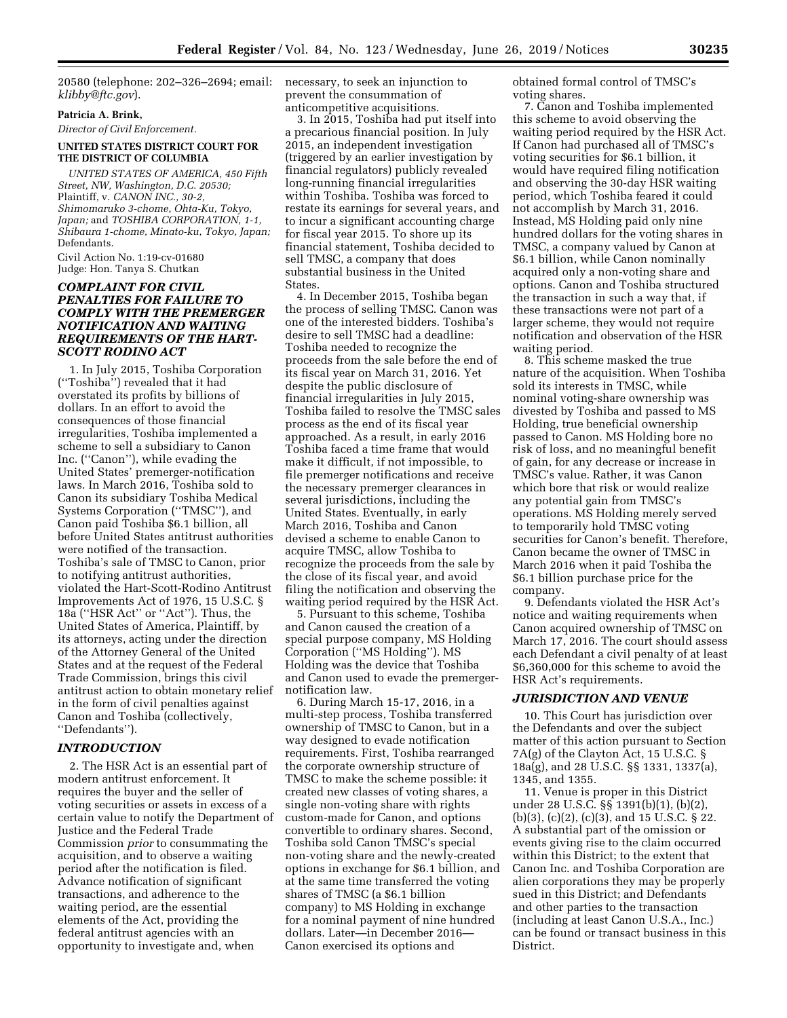20580 (telephone: 202–326–2694; email: necessary, to seek an injunction to *[klibby@ftc.gov](mailto:klibby@ftc.gov)*).

## **Patricia A. Brink,**

*Director of Civil Enforcement.* 

#### **UNITED STATES DISTRICT COURT FOR THE DISTRICT OF COLUMBIA**

*UNITED STATES OF AMERICA, 450 Fifth Street, NW, Washington, D.C. 20530;*  Plaintiff, v. *CANON INC., 30-2, Shimomaruko 3-chome, Ohta-Ku, Tokyo, Japan;* and *TOSHIBA CORPORATION, 1-1, Shibaura 1-chome, Minato-ku, Tokyo, Japan;*  Defendants.

Civil Action No. 1:19-cv-01680 Judge: Hon. Tanya S. Chutkan

# *COMPLAINT FOR CIVIL PENALTIES FOR FAILURE TO COMPLY WITH THE PREMERGER NOTIFICATION AND WAITING REQUIREMENTS OF THE HART-SCOTT RODINO ACT*

1. In July 2015, Toshiba Corporation (''Toshiba'') revealed that it had overstated its profits by billions of dollars. In an effort to avoid the consequences of those financial irregularities, Toshiba implemented a scheme to sell a subsidiary to Canon Inc. (''Canon''), while evading the United States' premerger-notification laws. In March 2016, Toshiba sold to Canon its subsidiary Toshiba Medical Systems Corporation (''TMSC''), and Canon paid Toshiba \$6.1 billion, all before United States antitrust authorities were notified of the transaction. Toshiba's sale of TMSC to Canon, prior to notifying antitrust authorities, violated the Hart-Scott-Rodino Antitrust Improvements Act of 1976, 15 U.S.C. § 18a (''HSR Act'' or ''Act''). Thus, the United States of America, Plaintiff, by its attorneys, acting under the direction of the Attorney General of the United States and at the request of the Federal Trade Commission, brings this civil antitrust action to obtain monetary relief in the form of civil penalties against Canon and Toshiba (collectively, ''Defendants'').

#### *INTRODUCTION*

2. The HSR Act is an essential part of modern antitrust enforcement. It requires the buyer and the seller of voting securities or assets in excess of a certain value to notify the Department of Justice and the Federal Trade Commission *prior* to consummating the acquisition, and to observe a waiting period after the notification is filed. Advance notification of significant transactions, and adherence to the waiting period, are the essential elements of the Act, providing the federal antitrust agencies with an opportunity to investigate and, when

prevent the consummation of anticompetitive acquisitions.

3. In 2015, Toshiba had put itself into a precarious financial position. In July 2015, an independent investigation (triggered by an earlier investigation by financial regulators) publicly revealed long-running financial irregularities within Toshiba. Toshiba was forced to restate its earnings for several years, and to incur a significant accounting charge for fiscal year 2015. To shore up its financial statement, Toshiba decided to sell TMSC, a company that does substantial business in the United States.

4. In December 2015, Toshiba began the process of selling TMSC. Canon was one of the interested bidders. Toshiba's desire to sell TMSC had a deadline: Toshiba needed to recognize the proceeds from the sale before the end of its fiscal year on March 31, 2016. Yet despite the public disclosure of financial irregularities in July 2015, Toshiba failed to resolve the TMSC sales process as the end of its fiscal year approached. As a result, in early 2016 Toshiba faced a time frame that would make it difficult, if not impossible, to file premerger notifications and receive the necessary premerger clearances in several jurisdictions, including the United States. Eventually, in early March 2016, Toshiba and Canon devised a scheme to enable Canon to acquire TMSC, allow Toshiba to recognize the proceeds from the sale by the close of its fiscal year, and avoid filing the notification and observing the waiting period required by the HSR Act.

5. Pursuant to this scheme, Toshiba and Canon caused the creation of a special purpose company, MS Holding Corporation (''MS Holding''). MS Holding was the device that Toshiba and Canon used to evade the premergernotification law.

6. During March 15-17, 2016, in a multi-step process, Toshiba transferred ownership of TMSC to Canon, but in a way designed to evade notification requirements. First, Toshiba rearranged the corporate ownership structure of TMSC to make the scheme possible: it created new classes of voting shares, a single non-voting share with rights custom-made for Canon, and options convertible to ordinary shares. Second, Toshiba sold Canon TMSC's special non-voting share and the newly-created options in exchange for \$6.1 billion, and at the same time transferred the voting shares of TMSC (a \$6.1 billion company) to MS Holding in exchange for a nominal payment of nine hundred dollars. Later—in December 2016— Canon exercised its options and

obtained formal control of TMSC's voting shares.

7. Canon and Toshiba implemented this scheme to avoid observing the waiting period required by the HSR Act. If Canon had purchased all of TMSC's voting securities for \$6.1 billion, it would have required filing notification and observing the 30-day HSR waiting period, which Toshiba feared it could not accomplish by March 31, 2016. Instead, MS Holding paid only nine hundred dollars for the voting shares in TMSC, a company valued by Canon at \$6.1 billion, while Canon nominally acquired only a non-voting share and options. Canon and Toshiba structured the transaction in such a way that, if these transactions were not part of a larger scheme, they would not require notification and observation of the HSR waiting period.

8. This scheme masked the true nature of the acquisition. When Toshiba sold its interests in TMSC, while nominal voting-share ownership was divested by Toshiba and passed to MS Holding, true beneficial ownership passed to Canon. MS Holding bore no risk of loss, and no meaningful benefit of gain, for any decrease or increase in TMSC's value. Rather, it was Canon which bore that risk or would realize any potential gain from TMSC's operations. MS Holding merely served to temporarily hold TMSC voting securities for Canon's benefit. Therefore, Canon became the owner of TMSC in March 2016 when it paid Toshiba the \$6.1 billion purchase price for the company.

9. Defendants violated the HSR Act's notice and waiting requirements when Canon acquired ownership of TMSC on March 17, 2016. The court should assess each Defendant a civil penalty of at least \$6,360,000 for this scheme to avoid the HSR Act's requirements.

#### *JURISDICTION AND VENUE*

10. This Court has jurisdiction over the Defendants and over the subject matter of this action pursuant to Section 7A(g) of the Clayton Act, 15 U.S.C. § 18a(g), and 28 U.S.C. §§ 1331, 1337(a), 1345, and 1355.

11. Venue is proper in this District under 28 U.S.C. §§ 1391(b)(1), (b)(2), (b)(3), (c)(2), (c)(3), and 15 U.S.C. § 22. A substantial part of the omission or events giving rise to the claim occurred within this District; to the extent that Canon Inc. and Toshiba Corporation are alien corporations they may be properly sued in this District; and Defendants and other parties to the transaction (including at least Canon U.S.A., Inc.) can be found or transact business in this District.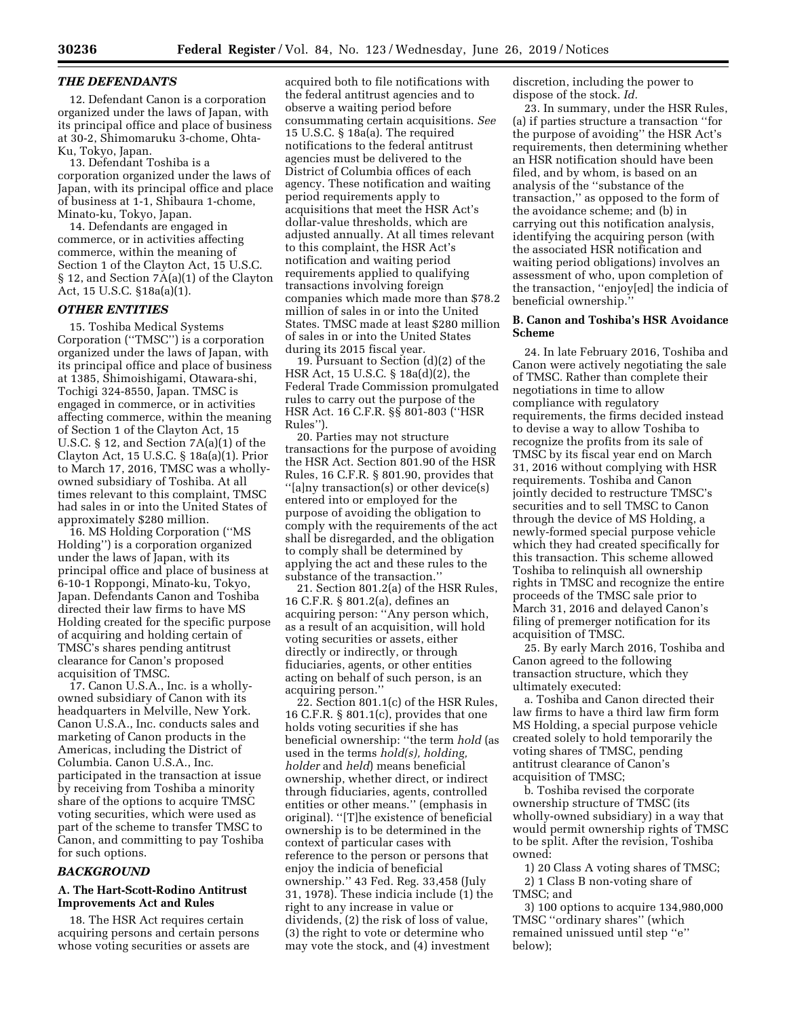#### *THE DEFENDANTS*

12. Defendant Canon is a corporation organized under the laws of Japan, with its principal office and place of business at 30-2, Shimomaruku 3-chome, Ohta-Ku, Tokyo, Japan.

13. Defendant Toshiba is a corporation organized under the laws of Japan, with its principal office and place of business at 1-1, Shibaura 1-chome, Minato-ku, Tokyo, Japan.

14. Defendants are engaged in commerce, or in activities affecting commerce, within the meaning of Section 1 of the Clayton Act, 15 U.S.C. § 12, and Section 7A(a)(1) of the Clayton Act, 15 U.S.C. §18a(a)(1).

# *OTHER ENTITIES*

15. Toshiba Medical Systems Corporation (''TMSC'') is a corporation organized under the laws of Japan, with its principal office and place of business at 1385, Shimoishigami, Otawara-shi, Tochigi 324-8550, Japan. TMSC is engaged in commerce, or in activities affecting commerce, within the meaning of Section 1 of the Clayton Act, 15 U.S.C. § 12, and Section 7A(a)(1) of the Clayton Act, 15 U.S.C. § 18a(a)(1). Prior to March 17, 2016, TMSC was a whollyowned subsidiary of Toshiba. At all times relevant to this complaint, TMSC had sales in or into the United States of approximately \$280 million.

16. MS Holding Corporation (''MS Holding'') is a corporation organized under the laws of Japan, with its principal office and place of business at 6-10-1 Roppongi, Minato-ku, Tokyo, Japan. Defendants Canon and Toshiba directed their law firms to have MS Holding created for the specific purpose of acquiring and holding certain of TMSC's shares pending antitrust clearance for Canon's proposed acquisition of TMSC.

17. Canon U.S.A., Inc. is a whollyowned subsidiary of Canon with its headquarters in Melville, New York. Canon U.S.A., Inc. conducts sales and marketing of Canon products in the Americas, including the District of Columbia. Canon U.S.A., Inc. participated in the transaction at issue by receiving from Toshiba a minority share of the options to acquire TMSC voting securities, which were used as part of the scheme to transfer TMSC to Canon, and committing to pay Toshiba for such options.

#### *BACKGROUND*

# **A. The Hart-Scott-Rodino Antitrust Improvements Act and Rules**

18. The HSR Act requires certain acquiring persons and certain persons whose voting securities or assets are

acquired both to file notifications with the federal antitrust agencies and to observe a waiting period before consummating certain acquisitions. *See*  15 U.S.C. § 18a(a). The required notifications to the federal antitrust agencies must be delivered to the District of Columbia offices of each agency. These notification and waiting period requirements apply to acquisitions that meet the HSR Act's dollar-value thresholds, which are adjusted annually. At all times relevant to this complaint, the HSR Act's notification and waiting period requirements applied to qualifying transactions involving foreign companies which made more than \$78.2 million of sales in or into the United States. TMSC made at least \$280 million of sales in or into the United States during its 2015 fiscal year.

19. Pursuant to Section (d)(2) of the HSR Act, 15 U.S.C. § 18a(d)(2), the Federal Trade Commission promulgated rules to carry out the purpose of the HSR Act. 16 C.F.R. §§ 801-803 (''HSR Rules'').

20. Parties may not structure transactions for the purpose of avoiding the HSR Act. Section 801.90 of the HSR Rules, 16 C.F.R. § 801.90, provides that ''[a]ny transaction(s) or other device(s) entered into or employed for the purpose of avoiding the obligation to comply with the requirements of the act shall be disregarded, and the obligation to comply shall be determined by applying the act and these rules to the substance of the transaction.''

21. Section 801.2(a) of the HSR Rules, 16 C.F.R. § 801.2(a), defines an acquiring person: ''Any person which, as a result of an acquisition, will hold voting securities or assets, either directly or indirectly, or through fiduciaries, agents, or other entities acting on behalf of such person, is an acquiring person.''

22. Section 801.1(c) of the HSR Rules, 16 C.F.R. § 801.1(c), provides that one holds voting securities if she has beneficial ownership: ''the term *hold* (as used in the terms *hold(s), holding, holder* and *held*) means beneficial ownership, whether direct, or indirect through fiduciaries, agents, controlled entities or other means.'' (emphasis in original). ''[T]he existence of beneficial ownership is to be determined in the context of particular cases with reference to the person or persons that enjoy the indicia of beneficial ownership.'' 43 Fed. Reg. 33,458 (July 31, 1978). These indicia include (1) the right to any increase in value or dividends, (2) the risk of loss of value, (3) the right to vote or determine who may vote the stock, and (4) investment

discretion, including the power to dispose of the stock. *Id.* 

23. In summary, under the HSR Rules, (a) if parties structure a transaction ''for the purpose of avoiding'' the HSR Act's requirements, then determining whether an HSR notification should have been filed, and by whom, is based on an analysis of the ''substance of the transaction,'' as opposed to the form of the avoidance scheme; and (b) in carrying out this notification analysis, identifying the acquiring person (with the associated HSR notification and waiting period obligations) involves an assessment of who, upon completion of the transaction, ''enjoy[ed] the indicia of beneficial ownership.''

#### **B. Canon and Toshiba's HSR Avoidance Scheme**

24. In late February 2016, Toshiba and Canon were actively negotiating the sale of TMSC. Rather than complete their negotiations in time to allow compliance with regulatory requirements, the firms decided instead to devise a way to allow Toshiba to recognize the profits from its sale of TMSC by its fiscal year end on March 31, 2016 without complying with HSR requirements. Toshiba and Canon jointly decided to restructure TMSC's securities and to sell TMSC to Canon through the device of MS Holding, a newly-formed special purpose vehicle which they had created specifically for this transaction. This scheme allowed Toshiba to relinquish all ownership rights in TMSC and recognize the entire proceeds of the TMSC sale prior to March 31, 2016 and delayed Canon's filing of premerger notification for its acquisition of TMSC.

25. By early March 2016, Toshiba and Canon agreed to the following transaction structure, which they ultimately executed:

a. Toshiba and Canon directed their law firms to have a third law firm form MS Holding, a special purpose vehicle created solely to hold temporarily the voting shares of TMSC, pending antitrust clearance of Canon's acquisition of TMSC;

b. Toshiba revised the corporate ownership structure of TMSC (its wholly-owned subsidiary) in a way that would permit ownership rights of TMSC to be split. After the revision, Toshiba owned:

1) 20 Class A voting shares of TMSC; 2) 1 Class B non-voting share of TMSC; and

3) 100 options to acquire 134,980,000 TMSC ''ordinary shares'' (which remained unissued until step ''e'' below);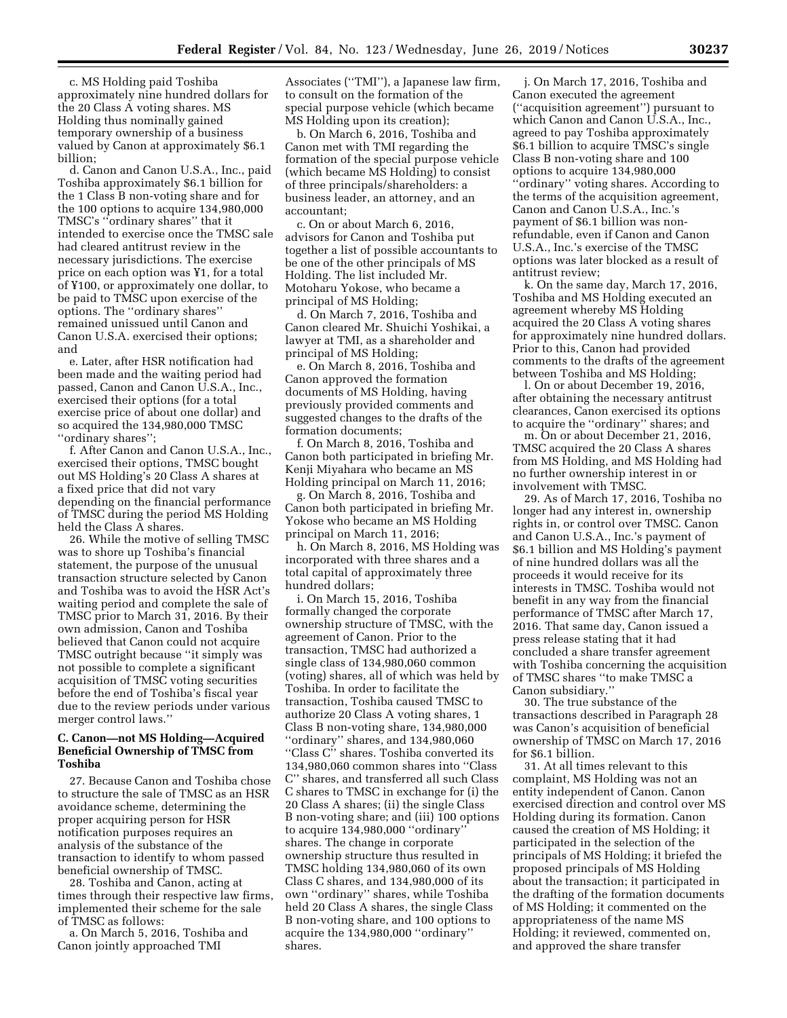c. MS Holding paid Toshiba approximately nine hundred dollars for the 20 Class A voting shares. MS Holding thus nominally gained temporary ownership of a business valued by Canon at approximately \$6.1 billion;

d. Canon and Canon U.S.A., Inc., paid Toshiba approximately \$6.1 billion for the 1 Class B non-voting share and for the 100 options to acquire 134,980,000 TMSC's ''ordinary shares'' that it intended to exercise once the TMSC sale had cleared antitrust review in the necessary jurisdictions. The exercise price on each option was ¥1, for a total of ¥100, or approximately one dollar, to be paid to TMSC upon exercise of the options. The ''ordinary shares'' remained unissued until Canon and Canon U.S.A. exercised their options; and

e. Later, after HSR notification had been made and the waiting period had passed, Canon and Canon U.S.A., Inc., exercised their options (for a total exercise price of about one dollar) and so acquired the 134,980,000 TMSC ''ordinary shares'';

f. After Canon and Canon U.S.A., Inc., exercised their options, TMSC bought out MS Holding's 20 Class A shares at a fixed price that did not vary depending on the financial performance of TMSC during the period MS Holding held the Class A shares.

26. While the motive of selling TMSC was to shore up Toshiba's financial statement, the purpose of the unusual transaction structure selected by Canon and Toshiba was to avoid the HSR Act's waiting period and complete the sale of TMSC prior to March 31, 2016. By their own admission, Canon and Toshiba believed that Canon could not acquire TMSC outright because ''it simply was not possible to complete a significant acquisition of TMSC voting securities before the end of Toshiba's fiscal year due to the review periods under various merger control laws.''

#### **C. Canon—not MS Holding—Acquired Beneficial Ownership of TMSC from Toshiba**

27. Because Canon and Toshiba chose to structure the sale of TMSC as an HSR avoidance scheme, determining the proper acquiring person for HSR notification purposes requires an analysis of the substance of the transaction to identify to whom passed beneficial ownership of TMSC.

28. Toshiba and Canon, acting at times through their respective law firms, implemented their scheme for the sale of TMSC as follows:

a. On March 5, 2016, Toshiba and Canon jointly approached TMI

Associates (''TMI''), a Japanese law firm, to consult on the formation of the special purpose vehicle (which became MS Holding upon its creation);

b. On March 6, 2016, Toshiba and Canon met with TMI regarding the formation of the special purpose vehicle (which became MS Holding) to consist of three principals/shareholders: a business leader, an attorney, and an accountant;

c. On or about March 6, 2016, advisors for Canon and Toshiba put together a list of possible accountants to be one of the other principals of MS Holding. The list included Mr. Motoharu Yokose, who became a principal of MS Holding;

d. On March 7, 2016, Toshiba and Canon cleared Mr. Shuichi Yoshikai, a lawyer at TMI, as a shareholder and principal of MS Holding;

e. On March 8, 2016, Toshiba and Canon approved the formation documents of MS Holding, having previously provided comments and suggested changes to the drafts of the formation documents;

f. On March 8, 2016, Toshiba and Canon both participated in briefing Mr. Kenji Miyahara who became an MS Holding principal on March 11, 2016;

g. On March 8, 2016, Toshiba and Canon both participated in briefing Mr. Yokose who became an MS Holding principal on March 11, 2016;

h. On March 8, 2016, MS Holding was incorporated with three shares and a total capital of approximately three hundred dollars;

i. On March 15, 2016, Toshiba formally changed the corporate ownership structure of TMSC, with the agreement of Canon. Prior to the transaction, TMSC had authorized a single class of 134,980,060 common (voting) shares, all of which was held by Toshiba. In order to facilitate the transaction, Toshiba caused TMSC to authorize 20 Class A voting shares, 1 Class B non-voting share, 134,980,000 ''ordinary'' shares, and 134,980,060 ''Class C'' shares. Toshiba converted its 134,980,060 common shares into ''Class C'' shares, and transferred all such Class C shares to TMSC in exchange for (i) the 20 Class A shares; (ii) the single Class B non-voting share; and (iii) 100 options to acquire 134,980,000 ''ordinary'' shares. The change in corporate ownership structure thus resulted in TMSC holding 134,980,060 of its own Class C shares, and 134,980,000 of its own ''ordinary'' shares, while Toshiba held 20 Class A shares, the single Class B non-voting share, and 100 options to acquire the 134,980,000 ''ordinary'' shares.

j. On March 17, 2016, Toshiba and Canon executed the agreement (''acquisition agreement'') pursuant to which Canon and Canon U.S.A., Inc., agreed to pay Toshiba approximately \$6.1 billion to acquire TMSC's single Class B non-voting share and 100 options to acquire 134,980,000 ''ordinary'' voting shares. According to the terms of the acquisition agreement, Canon and Canon U.S.A., Inc.'s payment of \$6.1 billion was nonrefundable, even if Canon and Canon U.S.A., Inc.'s exercise of the TMSC options was later blocked as a result of antitrust review;

k. On the same day, March 17, 2016, Toshiba and MS Holding executed an agreement whereby MS Holding acquired the 20 Class A voting shares for approximately nine hundred dollars. Prior to this, Canon had provided comments to the drafts of the agreement between Toshiba and MS Holding;

l. On or about December 19, 2016, after obtaining the necessary antitrust clearances, Canon exercised its options to acquire the ''ordinary'' shares; and

m. On or about December 21, 2016, TMSC acquired the 20 Class A shares from MS Holding, and MS Holding had no further ownership interest in or involvement with TMSC.

29. As of March 17, 2016, Toshiba no longer had any interest in, ownership rights in, or control over TMSC. Canon and Canon U.S.A., Inc.'s payment of \$6.1 billion and MS Holding's payment of nine hundred dollars was all the proceeds it would receive for its interests in TMSC. Toshiba would not benefit in any way from the financial performance of TMSC after March 17, 2016. That same day, Canon issued a press release stating that it had concluded a share transfer agreement with Toshiba concerning the acquisition of TMSC shares ''to make TMSC a Canon subsidiary.''

30. The true substance of the transactions described in Paragraph 28 was Canon's acquisition of beneficial ownership of TMSC on March 17, 2016 for \$6.1 billion.

31. At all times relevant to this complaint, MS Holding was not an entity independent of Canon. Canon exercised direction and control over MS Holding during its formation. Canon caused the creation of MS Holding; it participated in the selection of the principals of MS Holding; it briefed the proposed principals of MS Holding about the transaction; it participated in the drafting of the formation documents of MS Holding; it commented on the appropriateness of the name MS Holding; it reviewed, commented on, and approved the share transfer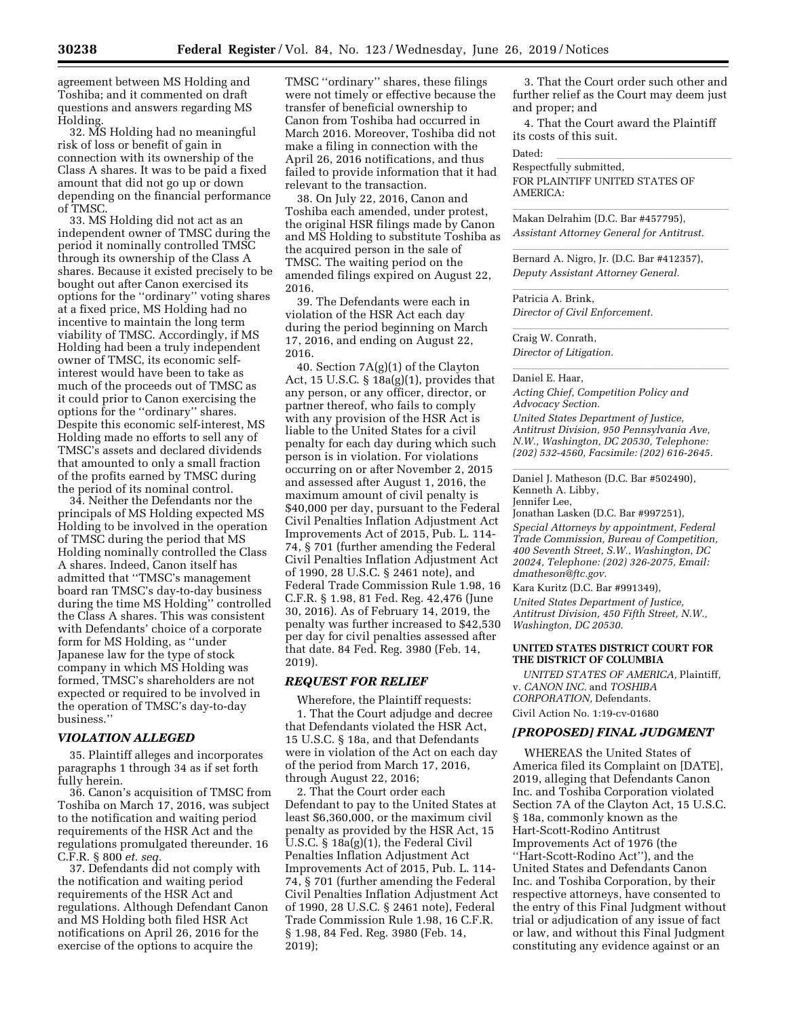agreement between MS Holding and Toshiba; and it commented on draft questions and answers regarding MS Holding.

32. MS Holding had no meaningful risk of loss or benefit of gain in connection with its ownership of the Class A shares. It was to be paid a fixed amount that did not go up or down depending on the financial performance of TMSC.

33. MS Holding did not act as an independent owner of TMSC during the period it nominally controlled TMSC through its ownership of the Class A shares. Because it existed precisely to be bought out after Canon exercised its options for the ''ordinary'' voting shares at a fixed price, MS Holding had no incentive to maintain the long term viability of TMSC. Accordingly, if MS Holding had been a truly independent owner of TMSC, its economic selfinterest would have been to take as much of the proceeds out of TMSC as it could prior to Canon exercising the options for the ''ordinary'' shares. Despite this economic self-interest, MS Holding made no efforts to sell any of TMSC's assets and declared dividends that amounted to only a small fraction of the profits earned by TMSC during the period of its nominal control.

34. Neither the Defendants nor the principals of MS Holding expected MS Holding to be involved in the operation of TMSC during the period that MS Holding nominally controlled the Class A shares. Indeed, Canon itself has admitted that ''TMSC's management board ran TMSC's day-to-day business during the time MS Holding'' controlled the Class A shares. This was consistent with Defendants' choice of a corporate form for MS Holding, as ''under Japanese law for the type of stock company in which MS Holding was formed, TMSC's shareholders are not expected or required to be involved in the operation of TMSC's day-to-day business.''

# *VIOLATION ALLEGED*

35. Plaintiff alleges and incorporates paragraphs 1 through 34 as if set forth fully herein.

36. Canon's acquisition of TMSC from Toshiba on March 17, 2016, was subject to the notification and waiting period requirements of the HSR Act and the regulations promulgated thereunder. 16 C.F.R. § 800 *et. seq.* 

37. Defendants did not comply with the notification and waiting period requirements of the HSR Act and regulations. Although Defendant Canon and MS Holding both filed HSR Act notifications on April 26, 2016 for the exercise of the options to acquire the

TMSC ''ordinary'' shares, these filings were not timely or effective because the transfer of beneficial ownership to Canon from Toshiba had occurred in March 2016. Moreover, Toshiba did not make a filing in connection with the April 26, 2016 notifications, and thus failed to provide information that it had relevant to the transaction.

38. On July 22, 2016, Canon and Toshiba each amended, under protest, the original HSR filings made by Canon and MS Holding to substitute Toshiba as the acquired person in the sale of TMSC. The waiting period on the amended filings expired on August 22, 2016.

39. The Defendants were each in violation of the HSR Act each day during the period beginning on March 17, 2016, and ending on August 22, 2016.

40. Section 7A(g)(1) of the Clayton Act, 15 U.S.C. § 18a(g)(1), provides that any person, or any officer, director, or partner thereof, who fails to comply with any provision of the HSR Act is liable to the United States for a civil penalty for each day during which such person is in violation. For violations occurring on or after November 2, 2015 and assessed after August 1, 2016, the maximum amount of civil penalty is \$40,000 per day, pursuant to the Federal Civil Penalties Inflation Adjustment Act Improvements Act of 2015, Pub. L. 114- 74, § 701 (further amending the Federal Civil Penalties Inflation Adjustment Act of 1990, 28 U.S.C. § 2461 note), and Federal Trade Commission Rule 1.98, 16 C.F.R. § 1.98, 81 Fed. Reg. 42,476 (June 30, 2016). As of February 14, 2019, the penalty was further increased to \$42,530 per day for civil penalties assessed after that date. 84 Fed. Reg. 3980 (Feb. 14, 2019).

#### *REQUEST FOR RELIEF*

Wherefore, the Plaintiff requests: 1. That the Court adjudge and decree that Defendants violated the HSR Act, 15 U.S.C. § 18a, and that Defendants were in violation of the Act on each day of the period from March 17, 2016, through August 22, 2016;

2. That the Court order each Defendant to pay to the United States at least \$6,360,000, or the maximum civil penalty as provided by the HSR Act, 15 U.S.C. § 18a(g)(1), the Federal Civil Penalties Inflation Adjustment Act Improvements Act of 2015, Pub. L. 114- 74, § 701 (further amending the Federal Civil Penalties Inflation Adjustment Act of 1990, 28 U.S.C. § 2461 note), Federal Trade Commission Rule 1.98, 16 C.F.R. § 1.98, 84 Fed. Reg. 3980 (Feb. 14, 2019);

3. That the Court order such other and further relief as the Court may deem just and proper; and

4. That the Court award the Plaintiff its costs of this suit.

Dated: lllllllllllllllll Respectfully submitted, FOR PLAINTIFF UNITED STATES OF AMERICA:

Makan Delrahim (D.C. Bar #457795), *Assistant Attorney General for Antitrust.* 

Bernard A. Nigro, Jr. (D.C. Bar #412357), *Deputy Assistant Attorney General.* 

Patricia A. Brink, *Director of Civil Enforcement.* 

**Craig W. Conrath,** *Director of Litigation.* 

# llaniel E. Haar, and a later than 1990 and 2000 and 2000 and 2000 and 2000 and 2000 and 2000 and 200

*Acting Chief, Competition Policy and Advocacy Section.* 

*United States Department of Justice, Antitrust Division, 950 Pennsylvania Ave, N.W., Washington, DC 20530, Telephone: (202) 532-4560, Facsimile: (202) 616-2645.* 

Daniel J. Matheson (D.C. Bar #502490), Kenneth A. Libby, Jennifer Lee,

Jonathan Lasken (D.C. Bar #997251),

*Special Attorneys by appointment, Federal Trade Commission, Bureau of Competition, 400 Seventh Street, S.W., Washington, DC 20024, Telephone: (202) 326-2075, Email: [dmatheson@ftc.gov.](mailto:dmatheson@ftc.gov)* 

Kara Kuritz (D.C. Bar #991349),

*United States Department of Justice, Antitrust Division, 450 Fifth Street, N.W., Washington, DC 20530.* 

#### **UNITED STATES DISTRICT COURT FOR THE DISTRICT OF COLUMBIA**

*UNITED STATES OF AMERICA,* Plaintiff, v. *CANON INC.* and *TOSHIBA CORPORATION,* Defendants.

Civil Action No. 1:19-cv-01680

#### *[PROPOSED] FINAL JUDGMENT*

WHEREAS the United States of America filed its Complaint on [DATE], 2019, alleging that Defendants Canon Inc. and Toshiba Corporation violated Section 7A of the Clayton Act, 15 U.S.C. § 18a, commonly known as the Hart-Scott-Rodino Antitrust Improvements Act of 1976 (the ''Hart-Scott-Rodino Act''), and the United States and Defendants Canon Inc. and Toshiba Corporation, by their respective attorneys, have consented to the entry of this Final Judgment without trial or adjudication of any issue of fact or law, and without this Final Judgment constituting any evidence against or an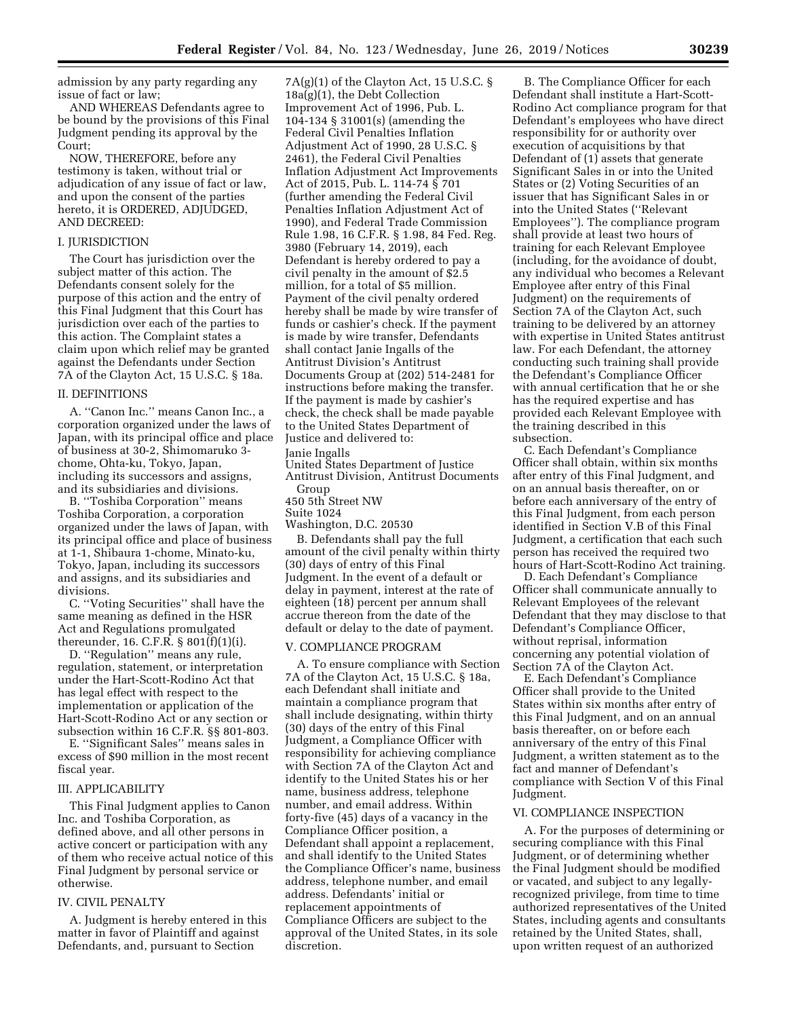admission by any party regarding any issue of fact or law;

AND WHEREAS Defendants agree to be bound by the provisions of this Final Judgment pending its approval by the Court;

NOW, THEREFORE, before any testimony is taken, without trial or adjudication of any issue of fact or law, and upon the consent of the parties hereto, it is ORDERED, ADJUDGED, AND DECREED:

#### I. JURISDICTION

The Court has jurisdiction over the subject matter of this action. The Defendants consent solely for the purpose of this action and the entry of this Final Judgment that this Court has jurisdiction over each of the parties to this action. The Complaint states a claim upon which relief may be granted against the Defendants under Section 7A of the Clayton Act, 15 U.S.C. § 18a.

#### II. DEFINITIONS

A. ''Canon Inc.'' means Canon Inc., a corporation organized under the laws of Japan, with its principal office and place of business at 30-2, Shimomaruko 3 chome, Ohta-ku, Tokyo, Japan, including its successors and assigns, and its subsidiaries and divisions.

B. ''Toshiba Corporation'' means Toshiba Corporation, a corporation organized under the laws of Japan, with its principal office and place of business at 1-1, Shibaura 1-chome, Minato-ku, Tokyo, Japan, including its successors and assigns, and its subsidiaries and divisions.

C. ''Voting Securities'' shall have the same meaning as defined in the HSR Act and Regulations promulgated thereunder, 16. C.F.R. § 801(f)(1)(i).

D. "Regulation" means any rule, regulation, statement, or interpretation under the Hart-Scott-Rodino Act that has legal effect with respect to the implementation or application of the Hart-Scott-Rodino Act or any section or subsection within 16 C.F.R. §§ 801-803.

E. ''Significant Sales'' means sales in excess of \$90 million in the most recent fiscal year.

#### III. APPLICABILITY

This Final Judgment applies to Canon Inc. and Toshiba Corporation, as defined above, and all other persons in active concert or participation with any of them who receive actual notice of this Final Judgment by personal service or otherwise.

#### IV. CIVIL PENALTY

A. Judgment is hereby entered in this matter in favor of Plaintiff and against Defendants, and, pursuant to Section

 $7A(g)(1)$  of the Clayton Act, 15 U.S.C. § 18a(g)(1), the Debt Collection Improvement Act of 1996, Pub. L. 104-134 § 31001(s) (amending the Federal Civil Penalties Inflation Adjustment Act of 1990, 28 U.S.C. § 2461), the Federal Civil Penalties Inflation Adjustment Act Improvements Act of 2015, Pub. L. 114-74 § 701 (further amending the Federal Civil Penalties Inflation Adjustment Act of 1990), and Federal Trade Commission Rule 1.98, 16 C.F.R. § 1.98, 84 Fed. Reg. 3980 (February 14, 2019), each Defendant is hereby ordered to pay a civil penalty in the amount of \$2.5 million, for a total of \$5 million. Payment of the civil penalty ordered hereby shall be made by wire transfer of funds or cashier's check. If the payment is made by wire transfer, Defendants shall contact Janie Ingalls of the Antitrust Division's Antitrust Documents Group at (202) 514-2481 for instructions before making the transfer. If the payment is made by cashier's check, the check shall be made payable to the United States Department of Justice and delivered to: Janie Ingalls United States Department of Justice

Antitrust Division, Antitrust Documents Group

450 5th Street NW

Suite 1024

Washington, D.C. 20530

B. Defendants shall pay the full amount of the civil penalty within thirty (30) days of entry of this Final Judgment. In the event of a default or delay in payment, interest at the rate of eighteen (18) percent per annum shall accrue thereon from the date of the default or delay to the date of payment.

#### V. COMPLIANCE PROGRAM

A. To ensure compliance with Section 7A of the Clayton Act, 15 U.S.C. § 18a, each Defendant shall initiate and maintain a compliance program that shall include designating, within thirty (30) days of the entry of this Final Judgment, a Compliance Officer with responsibility for achieving compliance with Section 7A of the Clayton Act and identify to the United States his or her name, business address, telephone number, and email address. Within forty-five (45) days of a vacancy in the Compliance Officer position, a Defendant shall appoint a replacement, and shall identify to the United States the Compliance Officer's name, business address, telephone number, and email address. Defendants' initial or replacement appointments of Compliance Officers are subject to the approval of the United States, in its sole discretion.

B. The Compliance Officer for each Defendant shall institute a Hart-Scott-Rodino Act compliance program for that Defendant's employees who have direct responsibility for or authority over execution of acquisitions by that Defendant of (1) assets that generate Significant Sales in or into the United States or (2) Voting Securities of an issuer that has Significant Sales in or into the United States (''Relevant Employees''). The compliance program shall provide at least two hours of training for each Relevant Employee (including, for the avoidance of doubt, any individual who becomes a Relevant Employee after entry of this Final Judgment) on the requirements of Section 7A of the Clayton Act, such training to be delivered by an attorney with expertise in United States antitrust law. For each Defendant, the attorney conducting such training shall provide the Defendant's Compliance Officer with annual certification that he or she has the required expertise and has provided each Relevant Employee with the training described in this subsection.

C. Each Defendant's Compliance Officer shall obtain, within six months after entry of this Final Judgment, and on an annual basis thereafter, on or before each anniversary of the entry of this Final Judgment, from each person identified in Section V.B of this Final Judgment, a certification that each such person has received the required two hours of Hart-Scott-Rodino Act training.

D. Each Defendant's Compliance Officer shall communicate annually to Relevant Employees of the relevant Defendant that they may disclose to that Defendant's Compliance Officer, without reprisal, information concerning any potential violation of Section 7A of the Clayton Act.

E. Each Defendant's Compliance Officer shall provide to the United States within six months after entry of this Final Judgment, and on an annual basis thereafter, on or before each anniversary of the entry of this Final Judgment, a written statement as to the fact and manner of Defendant's compliance with Section V of this Final Judgment.

#### VI. COMPLIANCE INSPECTION

A. For the purposes of determining or securing compliance with this Final Judgment, or of determining whether the Final Judgment should be modified or vacated, and subject to any legallyrecognized privilege, from time to time authorized representatives of the United States, including agents and consultants retained by the United States, shall, upon written request of an authorized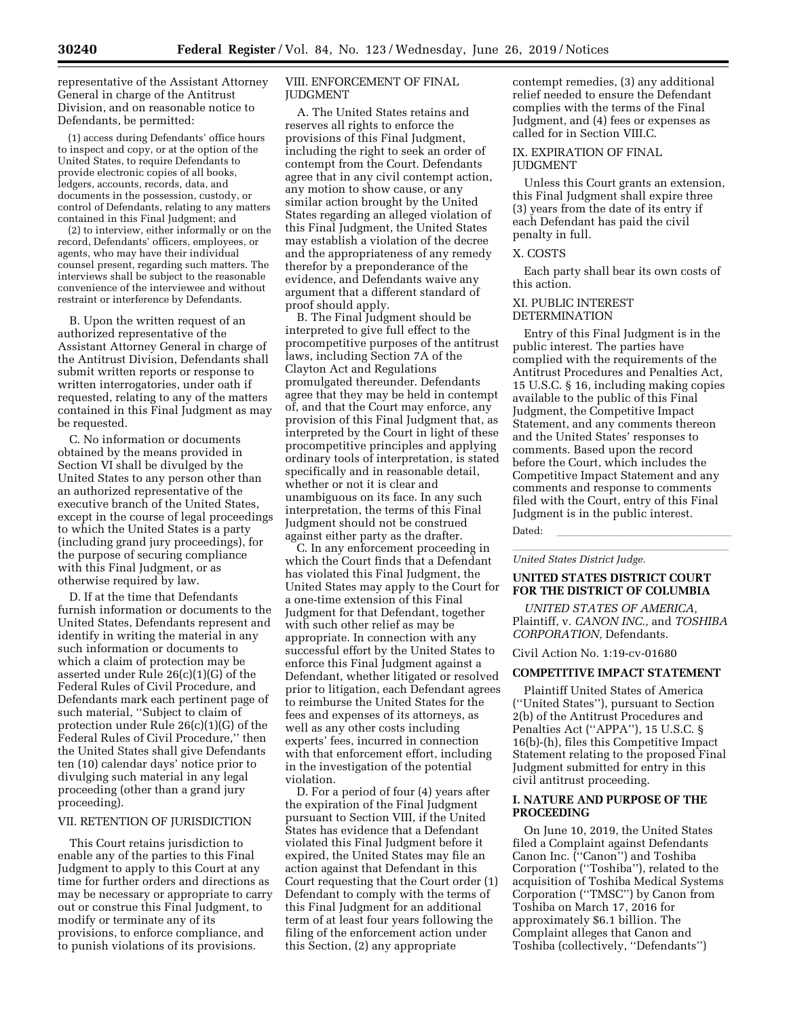representative of the Assistant Attorney General in charge of the Antitrust Division, and on reasonable notice to Defendants, be permitted:

(1) access during Defendants' office hours to inspect and copy, or at the option of the United States, to require Defendants to provide electronic copies of all books, ledgers, accounts, records, data, and documents in the possession, custody, or control of Defendants, relating to any matters contained in this Final Judgment; and

(2) to interview, either informally or on the record, Defendants' officers, employees, or agents, who may have their individual counsel present, regarding such matters. The interviews shall be subject to the reasonable convenience of the interviewee and without restraint or interference by Defendants.

B. Upon the written request of an authorized representative of the Assistant Attorney General in charge of the Antitrust Division, Defendants shall submit written reports or response to written interrogatories, under oath if requested, relating to any of the matters contained in this Final Judgment as may be requested.

C. No information or documents obtained by the means provided in Section VI shall be divulged by the United States to any person other than an authorized representative of the executive branch of the United States, except in the course of legal proceedings to which the United States is a party (including grand jury proceedings), for the purpose of securing compliance with this Final Judgment, or as otherwise required by law.

D. If at the time that Defendants furnish information or documents to the United States, Defendants represent and identify in writing the material in any such information or documents to which a claim of protection may be asserted under Rule 26(c)(1)(G) of the Federal Rules of Civil Procedure, and Defendants mark each pertinent page of such material, ''Subject to claim of protection under Rule 26(c)(1)(G) of the Federal Rules of Civil Procedure,'' then the United States shall give Defendants ten (10) calendar days' notice prior to divulging such material in any legal proceeding (other than a grand jury proceeding).

### VII. RETENTION OF JURISDICTION

This Court retains jurisdiction to enable any of the parties to this Final Judgment to apply to this Court at any time for further orders and directions as may be necessary or appropriate to carry out or construe this Final Judgment, to modify or terminate any of its provisions, to enforce compliance, and to punish violations of its provisions.

# VIII. ENFORCEMENT OF FINAL JUDGMENT

A. The United States retains and reserves all rights to enforce the provisions of this Final Judgment, including the right to seek an order of contempt from the Court. Defendants agree that in any civil contempt action, any motion to show cause, or any similar action brought by the United States regarding an alleged violation of this Final Judgment, the United States may establish a violation of the decree and the appropriateness of any remedy therefor by a preponderance of the evidence, and Defendants waive any argument that a different standard of proof should apply.

B. The Final Judgment should be interpreted to give full effect to the procompetitive purposes of the antitrust laws, including Section 7A of the Clayton Act and Regulations promulgated thereunder. Defendants agree that they may be held in contempt of, and that the Court may enforce, any provision of this Final Judgment that, as interpreted by the Court in light of these procompetitive principles and applying ordinary tools of interpretation, is stated specifically and in reasonable detail, whether or not it is clear and unambiguous on its face. In any such interpretation, the terms of this Final Judgment should not be construed against either party as the drafter.

C. In any enforcement proceeding in which the Court finds that a Defendant has violated this Final Judgment, the United States may apply to the Court for a one-time extension of this Final Judgment for that Defendant, together with such other relief as may be appropriate. In connection with any successful effort by the United States to enforce this Final Judgment against a Defendant, whether litigated or resolved prior to litigation, each Defendant agrees to reimburse the United States for the fees and expenses of its attorneys, as well as any other costs including experts' fees, incurred in connection with that enforcement effort, including in the investigation of the potential violation.

D. For a period of four (4) years after the expiration of the Final Judgment pursuant to Section VIII, if the United States has evidence that a Defendant violated this Final Judgment before it expired, the United States may file an action against that Defendant in this Court requesting that the Court order (1) Defendant to comply with the terms of this Final Judgment for an additional term of at least four years following the filing of the enforcement action under this Section, (2) any appropriate

contempt remedies, (3) any additional relief needed to ensure the Defendant complies with the terms of the Final Judgment, and (4) fees or expenses as called for in Section VIII.C.

#### IX. EXPIRATION OF FINAL JUDGMENT

Unless this Court grants an extension, this Final Judgment shall expire three (3) years from the date of its entry if each Defendant has paid the civil penalty in full.

#### X. COSTS

Each party shall bear its own costs of this action.

#### XI. PUBLIC INTEREST DETERMINATION

Entry of this Final Judgment is in the public interest. The parties have complied with the requirements of the Antitrust Procedures and Penalties Act, 15 U.S.C. § 16, including making copies available to the public of this Final Judgment, the Competitive Impact Statement, and any comments thereon and the United States' responses to comments. Based upon the record before the Court, which includes the Competitive Impact Statement and any comments and response to comments filed with the Court, entry of this Final Judgment is in the public interest.

Dated: <u>llevel like the set of the set of the set of the set of the set of the set of the set of the set of the set of the set of the set of the set of the set of the set of the set of the set of the set of the set of the </u>

lllllllllllllllllllll *United States District Judge.* 

# **UNITED STATES DISTRICT COURT FOR THE DISTRICT OF COLUMBIA**

*UNITED STATES OF AMERICA,*  Plaintiff, v. *CANON INC.,* and *TOSHIBA CORPORATION,* Defendants.

Civil Action No. 1:19-cv-01680

# **COMPETITIVE IMPACT STATEMENT**

Plaintiff United States of America (''United States''), pursuant to Section 2(b) of the Antitrust Procedures and Penalties Act (''APPA''), 15 U.S.C. § 16(b)-(h), files this Competitive Impact Statement relating to the proposed Final Judgment submitted for entry in this civil antitrust proceeding.

#### **I. NATURE AND PURPOSE OF THE PROCEEDING**

On June 10, 2019, the United States filed a Complaint against Defendants Canon Inc. (''Canon'') and Toshiba Corporation (''Toshiba''), related to the acquisition of Toshiba Medical Systems Corporation (''TMSC'') by Canon from Toshiba on March 17, 2016 for approximately \$6.1 billion. The Complaint alleges that Canon and Toshiba (collectively, ''Defendants'')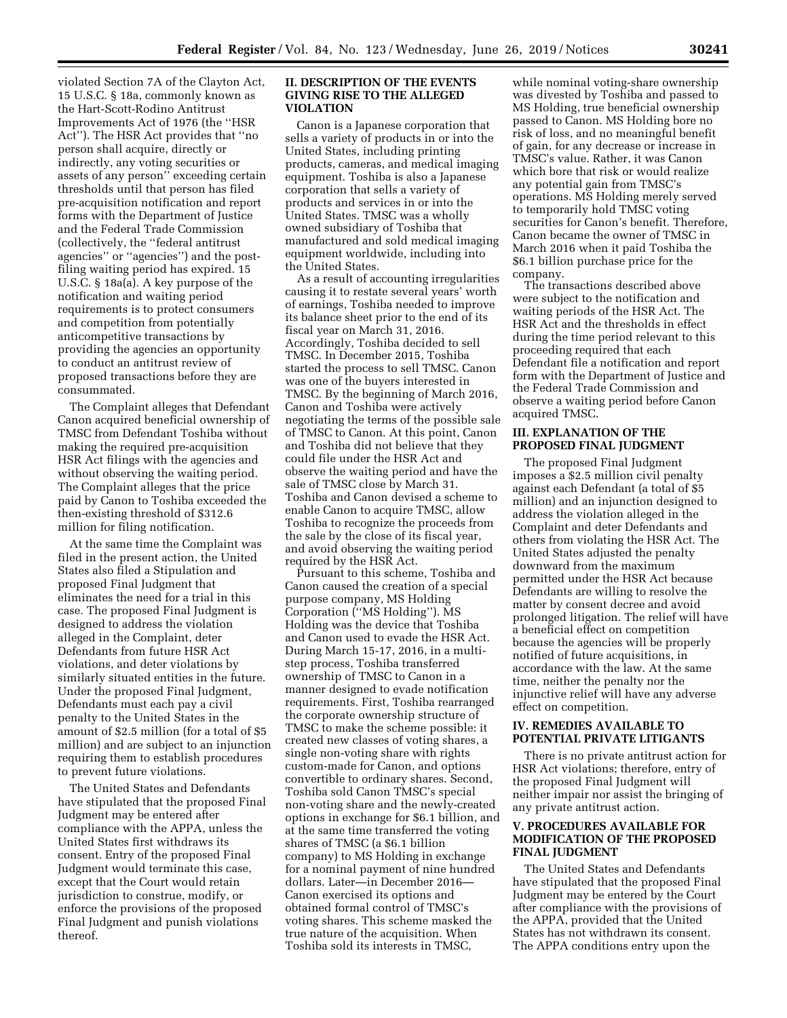violated Section 7A of the Clayton Act, 15 U.S.C. § 18a, commonly known as the Hart-Scott-Rodino Antitrust Improvements Act of 1976 (the ''HSR Act''). The HSR Act provides that ''no person shall acquire, directly or indirectly, any voting securities or assets of any person'' exceeding certain thresholds until that person has filed pre-acquisition notification and report forms with the Department of Justice and the Federal Trade Commission (collectively, the ''federal antitrust agencies'' or ''agencies'') and the postfiling waiting period has expired. 15 U.S.C. § 18a(a). A key purpose of the notification and waiting period requirements is to protect consumers and competition from potentially anticompetitive transactions by providing the agencies an opportunity to conduct an antitrust review of proposed transactions before they are consummated.

The Complaint alleges that Defendant Canon acquired beneficial ownership of TMSC from Defendant Toshiba without making the required pre-acquisition HSR Act filings with the agencies and without observing the waiting period. The Complaint alleges that the price paid by Canon to Toshiba exceeded the then-existing threshold of \$312.6 million for filing notification.

At the same time the Complaint was filed in the present action, the United States also filed a Stipulation and proposed Final Judgment that eliminates the need for a trial in this case. The proposed Final Judgment is designed to address the violation alleged in the Complaint, deter Defendants from future HSR Act violations, and deter violations by similarly situated entities in the future. Under the proposed Final Judgment, Defendants must each pay a civil penalty to the United States in the amount of \$2.5 million (for a total of \$5 million) and are subject to an injunction requiring them to establish procedures to prevent future violations.

The United States and Defendants have stipulated that the proposed Final Judgment may be entered after compliance with the APPA, unless the United States first withdraws its consent. Entry of the proposed Final Judgment would terminate this case, except that the Court would retain jurisdiction to construe, modify, or enforce the provisions of the proposed Final Judgment and punish violations thereof.

#### **II. DESCRIPTION OF THE EVENTS GIVING RISE TO THE ALLEGED VIOLATION**

Canon is a Japanese corporation that sells a variety of products in or into the United States, including printing products, cameras, and medical imaging equipment. Toshiba is also a Japanese corporation that sells a variety of products and services in or into the United States. TMSC was a wholly owned subsidiary of Toshiba that manufactured and sold medical imaging equipment worldwide, including into the United States.

As a result of accounting irregularities causing it to restate several years' worth of earnings, Toshiba needed to improve its balance sheet prior to the end of its fiscal year on March 31, 2016. Accordingly, Toshiba decided to sell TMSC. In December 2015, Toshiba started the process to sell TMSC. Canon was one of the buyers interested in TMSC. By the beginning of March 2016, Canon and Toshiba were actively negotiating the terms of the possible sale of TMSC to Canon. At this point, Canon and Toshiba did not believe that they could file under the HSR Act and observe the waiting period and have the sale of TMSC close by March 31. Toshiba and Canon devised a scheme to enable Canon to acquire TMSC, allow Toshiba to recognize the proceeds from the sale by the close of its fiscal year, and avoid observing the waiting period required by the HSR Act.

Pursuant to this scheme, Toshiba and Canon caused the creation of a special purpose company, MS Holding Corporation (''MS Holding''). MS Holding was the device that Toshiba and Canon used to evade the HSR Act. During March 15-17, 2016, in a multistep process, Toshiba transferred ownership of TMSC to Canon in a manner designed to evade notification requirements. First, Toshiba rearranged the corporate ownership structure of TMSC to make the scheme possible: it created new classes of voting shares, a single non-voting share with rights custom-made for Canon, and options convertible to ordinary shares. Second, Toshiba sold Canon TMSC's special non-voting share and the newly-created options in exchange for \$6.1 billion, and at the same time transferred the voting shares of TMSC (a \$6.1 billion company) to MS Holding in exchange for a nominal payment of nine hundred dollars. Later—in December 2016— Canon exercised its options and obtained formal control of TMSC's voting shares. This scheme masked the true nature of the acquisition. When Toshiba sold its interests in TMSC,

while nominal voting-share ownership was divested by Toshiba and passed to MS Holding, true beneficial ownership passed to Canon. MS Holding bore no risk of loss, and no meaningful benefit of gain, for any decrease or increase in TMSC's value. Rather, it was Canon which bore that risk or would realize any potential gain from TMSC's operations. MS Holding merely served to temporarily hold TMSC voting securities for Canon's benefit. Therefore, Canon became the owner of TMSC in March 2016 when it paid Toshiba the \$6.1 billion purchase price for the company.

The transactions described above were subject to the notification and waiting periods of the HSR Act. The HSR Act and the thresholds in effect during the time period relevant to this proceeding required that each Defendant file a notification and report form with the Department of Justice and the Federal Trade Commission and observe a waiting period before Canon acquired TMSC.

# **III. EXPLANATION OF THE PROPOSED FINAL JUDGMENT**

The proposed Final Judgment imposes a \$2.5 million civil penalty against each Defendant (a total of \$5 million) and an injunction designed to address the violation alleged in the Complaint and deter Defendants and others from violating the HSR Act. The United States adjusted the penalty downward from the maximum permitted under the HSR Act because Defendants are willing to resolve the matter by consent decree and avoid prolonged litigation. The relief will have a beneficial effect on competition because the agencies will be properly notified of future acquisitions, in accordance with the law. At the same time, neither the penalty nor the injunctive relief will have any adverse effect on competition.

#### **IV. REMEDIES AVAILABLE TO POTENTIAL PRIVATE LITIGANTS**

There is no private antitrust action for HSR Act violations; therefore, entry of the proposed Final Judgment will neither impair nor assist the bringing of any private antitrust action.

# **V. PROCEDURES AVAILABLE FOR MODIFICATION OF THE PROPOSED FINAL JUDGMENT**

The United States and Defendants have stipulated that the proposed Final Judgment may be entered by the Court after compliance with the provisions of the APPA, provided that the United States has not withdrawn its consent. The APPA conditions entry upon the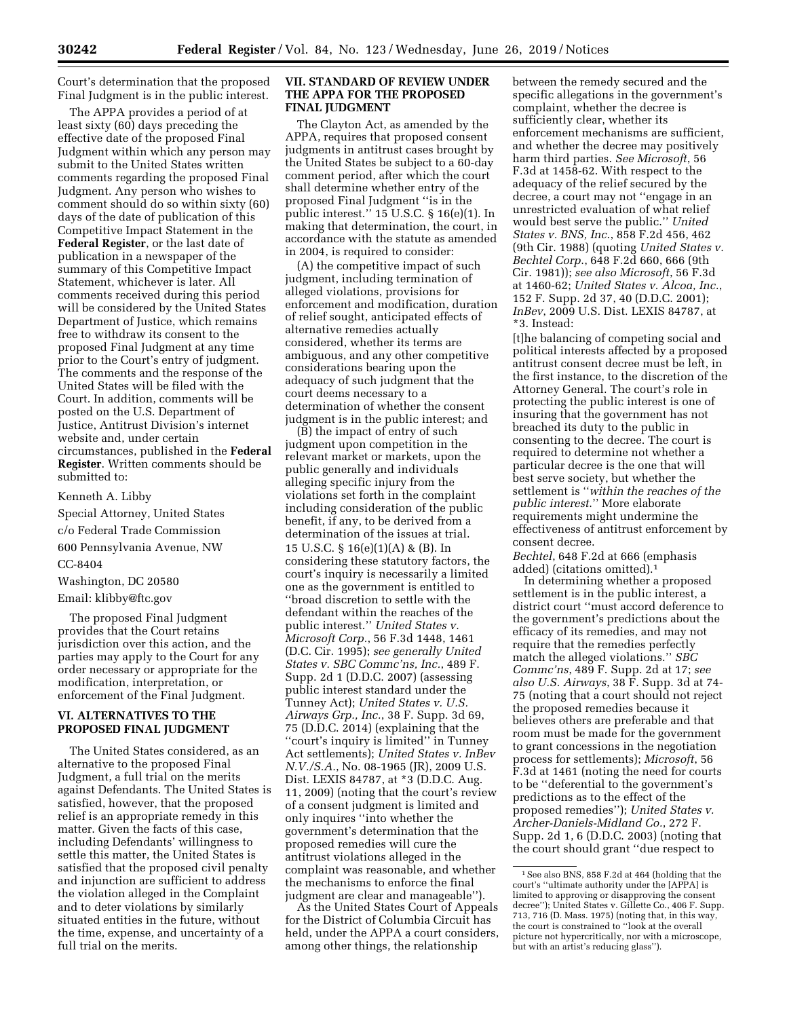Court's determination that the proposed Final Judgment is in the public interest.

The APPA provides a period of at least sixty (60) days preceding the effective date of the proposed Final Judgment within which any person may submit to the United States written comments regarding the proposed Final Judgment. Any person who wishes to comment should do so within sixty (60) days of the date of publication of this Competitive Impact Statement in the **Federal Register**, or the last date of publication in a newspaper of the summary of this Competitive Impact Statement, whichever is later. All comments received during this period will be considered by the United States Department of Justice, which remains free to withdraw its consent to the proposed Final Judgment at any time prior to the Court's entry of judgment. The comments and the response of the United States will be filed with the Court. In addition, comments will be posted on the U.S. Department of Justice, Antitrust Division's internet website and, under certain circumstances, published in the **Federal Register**. Written comments should be submitted to:

Kenneth A. Libby

Special Attorney, United States

c/o Federal Trade Commission

600 Pennsylvania Avenue, NW

CC-8404

Washington, DC 20580

Email: [klibby@ftc.gov](mailto:klibby@ftc.gov)

The proposed Final Judgment provides that the Court retains jurisdiction over this action, and the parties may apply to the Court for any order necessary or appropriate for the modification, interpretation, or enforcement of the Final Judgment.

# **VI. ALTERNATIVES TO THE PROPOSED FINAL JUDGMENT**

The United States considered, as an alternative to the proposed Final Judgment, a full trial on the merits against Defendants. The United States is satisfied, however, that the proposed relief is an appropriate remedy in this matter. Given the facts of this case, including Defendants' willingness to settle this matter, the United States is satisfied that the proposed civil penalty and injunction are sufficient to address the violation alleged in the Complaint and to deter violations by similarly situated entities in the future, without the time, expense, and uncertainty of a full trial on the merits.

#### **VII. STANDARD OF REVIEW UNDER THE APPA FOR THE PROPOSED FINAL JUDGMENT**

The Clayton Act, as amended by the APPA, requires that proposed consent judgments in antitrust cases brought by the United States be subject to a 60-day comment period, after which the court shall determine whether entry of the proposed Final Judgment ''is in the public interest.'' 15 U.S.C. § 16(e)(1). In making that determination, the court, in accordance with the statute as amended in 2004, is required to consider:

(A) the competitive impact of such judgment, including termination of alleged violations, provisions for enforcement and modification, duration of relief sought, anticipated effects of alternative remedies actually considered, whether its terms are ambiguous, and any other competitive considerations bearing upon the adequacy of such judgment that the court deems necessary to a determination of whether the consent judgment is in the public interest; and

 $(B)$  the impact of entry of such judgment upon competition in the relevant market or markets, upon the public generally and individuals alleging specific injury from the violations set forth in the complaint including consideration of the public benefit, if any, to be derived from a determination of the issues at trial. 15 U.S.C. § 16(e)(1)(A) & (B). In considering these statutory factors, the court's inquiry is necessarily a limited one as the government is entitled to ''broad discretion to settle with the defendant within the reaches of the public interest.'' *United States v. Microsoft Corp.*, 56 F.3d 1448, 1461 (D.C. Cir. 1995); *see generally United States v. SBC Commc'ns, Inc.*, 489 F. Supp. 2d 1 (D.D.C. 2007) (assessing public interest standard under the Tunney Act); *United States v. U.S. Airways Grp., Inc.*, 38 F. Supp. 3d 69, 75 (D.D.C. 2014) (explaining that the "court's inquiry is limited" in Tunney Act settlements); *United States v. InBev N.V./S.A.*, No. 08-1965 (JR), 2009 U.S. Dist. LEXIS 84787, at \*3 (D.D.C. Aug. 11, 2009) (noting that the court's review of a consent judgment is limited and only inquires ''into whether the government's determination that the proposed remedies will cure the antitrust violations alleged in the complaint was reasonable, and whether the mechanisms to enforce the final judgment are clear and manageable'').

As the United States Court of Appeals for the District of Columbia Circuit has held, under the APPA a court considers, among other things, the relationship

between the remedy secured and the specific allegations in the government's complaint, whether the decree is sufficiently clear, whether its enforcement mechanisms are sufficient, and whether the decree may positively harm third parties. *See Microsoft*, 56 F.3d at 1458-62. With respect to the adequacy of the relief secured by the decree, a court may not ''engage in an unrestricted evaluation of what relief would best serve the public.'' *United States v. BNS, Inc*., 858 F.2d 456, 462 (9th Cir. 1988) (quoting *United States v. Bechtel Corp*., 648 F.2d 660, 666 (9th Cir. 1981)); *see also Microsoft*, 56 F.3d at 1460-62; *United States v. Alcoa, Inc.*, 152 F. Supp. 2d 37, 40 (D.D.C. 2001); *InBev*, 2009 U.S. Dist. LEXIS 84787, at \*3. Instead:

[t]he balancing of competing social and political interests affected by a proposed antitrust consent decree must be left, in the first instance, to the discretion of the Attorney General. The court's role in protecting the public interest is one of insuring that the government has not breached its duty to the public in consenting to the decree. The court is required to determine not whether a particular decree is the one that will best serve society, but whether the settlement is ''*within the reaches of the public interest*.'' More elaborate requirements might undermine the effectiveness of antitrust enforcement by consent decree.

*Bechtel*, 648 F.2d at 666 (emphasis added) (citations omitted).1

In determining whether a proposed settlement is in the public interest, a district court ''must accord deference to the government's predictions about the efficacy of its remedies, and may not require that the remedies perfectly match the alleged violations.'' *SBC Commc'ns*, 489 F. Supp. 2d at 17; *see also U.S. Airways*, 38 F. Supp. 3d at 74- 75 (noting that a court should not reject the proposed remedies because it believes others are preferable and that room must be made for the government to grant concessions in the negotiation process for settlements); *Microsoft*, 56 F.3d at 1461 (noting the need for courts to be ''deferential to the government's predictions as to the effect of the proposed remedies''); *United States v. Archer-Daniels-Midland Co.*, 272 F. Supp. 2d 1, 6 (D.D.C. 2003) (noting that the court should grant ''due respect to

<sup>1</sup>See also BNS, 858 F.2d at 464 (holding that the court's ''ultimate authority under the [APPA] is limited to approving or disapproving the consent decree''); United States v. Gillette Co., 406 F. Supp. 713, 716 (D. Mass. 1975) (noting that, in this way, the court is constrained to ''look at the overall picture not hypercritically, nor with a microscope, but with an artist's reducing glass'').